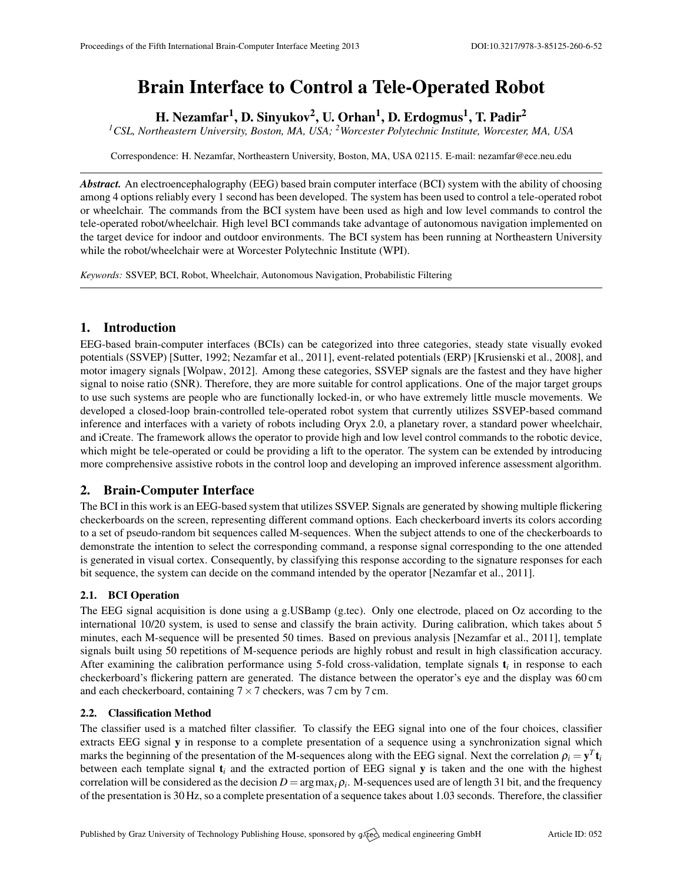# Brain Interface to Control a Tele-Operated Robot

H. Nezamfar<sup>1</sup>, D. Sinyukov<sup>2</sup>, U. Orhan<sup>1</sup>, D. Erdogmus<sup>1</sup>, T. Padir<sup>2</sup>

*<sup>1</sup>CSL, Northeastern University, Boston, MA, USA; <sup>2</sup>Worcester Polytechnic Institute, Worcester, MA, USA*

Correspondence: H. Nezamfar, Northeastern University, Boston, MA, USA 02115. E-mail: [nezamfar@ece.neu.edu](mailto:nezamfar@ece.neu.edu)

*Abstract.* An electroencephalography (EEG) based brain computer interface (BCI) system with the ability of choosing among 4 options reliably every 1 second has been developed. The system has been used to control a tele-operated robot or wheelchair. The commands from the BCI system have been used as high and low level commands to control the tele-operated robot/wheelchair. High level BCI commands take advantage of autonomous navigation implemented on the target device for indoor and outdoor environments. The BCI system has been running at Northeastern University while the robot/wheelchair were at Worcester Polytechnic Institute (WPI).

*Keywords:* SSVEP, BCI, Robot, Wheelchair, Autonomous Navigation, Probabilistic Filtering

## 1. Introduction

EEG-based brain-computer interfaces (BCIs) can be categorized into three categories, steady state visually evoked potentials (SSVEP) [\[Sutter,](#page-1-0) [1992;](#page-1-0) [Nezamfar et al.,](#page-1-1) [2011\]](#page-1-1), event-related potentials (ERP) [\[Krusienski et al.,](#page-1-2) [2008\]](#page-1-2), and motor imagery signals [\[Wolpaw,](#page-1-3) [2012\]](#page-1-3). Among these categories, SSVEP signals are the fastest and they have higher signal to noise ratio (SNR). Therefore, they are more suitable for control applications. One of the major target groups to use such systems are people who are functionally locked-in, or who have extremely little muscle movements. We developed a closed-loop brain-controlled tele-operated robot system that currently utilizes SSVEP-based command inference and interfaces with a variety of robots including Oryx 2.0, a planetary rover, a standard power wheelchair, and iCreate. The framework allows the operator to provide high and low level control commands to the robotic device, which might be tele-operated or could be providing a lift to the operator. The system can be extended by introducing more comprehensive assistive robots in the control loop and developing an improved inference assessment algorithm.

# 2. Brain-Computer Interface

The BCI in this work is an EEG-based system that utilizes SSVEP. Signals are generated by showing multiple flickering checkerboards on the screen, representing different command options. Each checkerboard inverts its colors according to a set of pseudo-random bit sequences called M-sequences. When the subject attends to one of the checkerboards to demonstrate the intention to select the corresponding command, a response signal corresponding to the one attended is generated in visual cortex. Consequently, by classifying this response according to the signature responses for each bit sequence, the system can decide on the command intended by the operator [\[Nezamfar et al.,](#page-1-1) [2011\]](#page-1-1).

## 2.1. BCI Operation

The EEG signal acquisition is done using a g.USBamp (g.tec). Only one electrode, placed on Oz according to the international 10/20 system, is used to sense and classify the brain activity. During calibration, which takes about 5 minutes, each M-sequence will be presented 50 times. Based on previous analysis [\[Nezamfar et al.,](#page-1-1) [2011\]](#page-1-1), template signals built using 50 repetitions of M-sequence periods are highly robust and result in high classification accuracy. After examining the calibration performance using 5-fold cross-validation, template signals t*<sup>i</sup>* in response to each checkerboard's flickering pattern are generated. The distance between the operator's eye and the display was 60 cm and each checkerboard, containing  $7 \times 7$  checkers, was 7 cm by 7 cm.

#### 2.2. Classification Method

The classifier used is a matched filter classifier. To classify the EEG signal into one of the four choices, classifier extracts EEG signal y in response to a complete presentation of a sequence using a synchronization signal which marks the beginning of the presentation of the M-sequences along with the EEG signal. Next the correlation  $\rho_i = y^T t_i$ between each template signal t*<sup>i</sup>* and the extracted portion of EEG signal y is taken and the one with the highest correlation will be considered as the decision  $D = \argmax_i \rho_i$ . M-sequences used are of length 31 bit, and the frequency of the presentation is 30 Hz, so a complete presentation of a sequence takes about 1.03 seconds. Therefore, the classifier